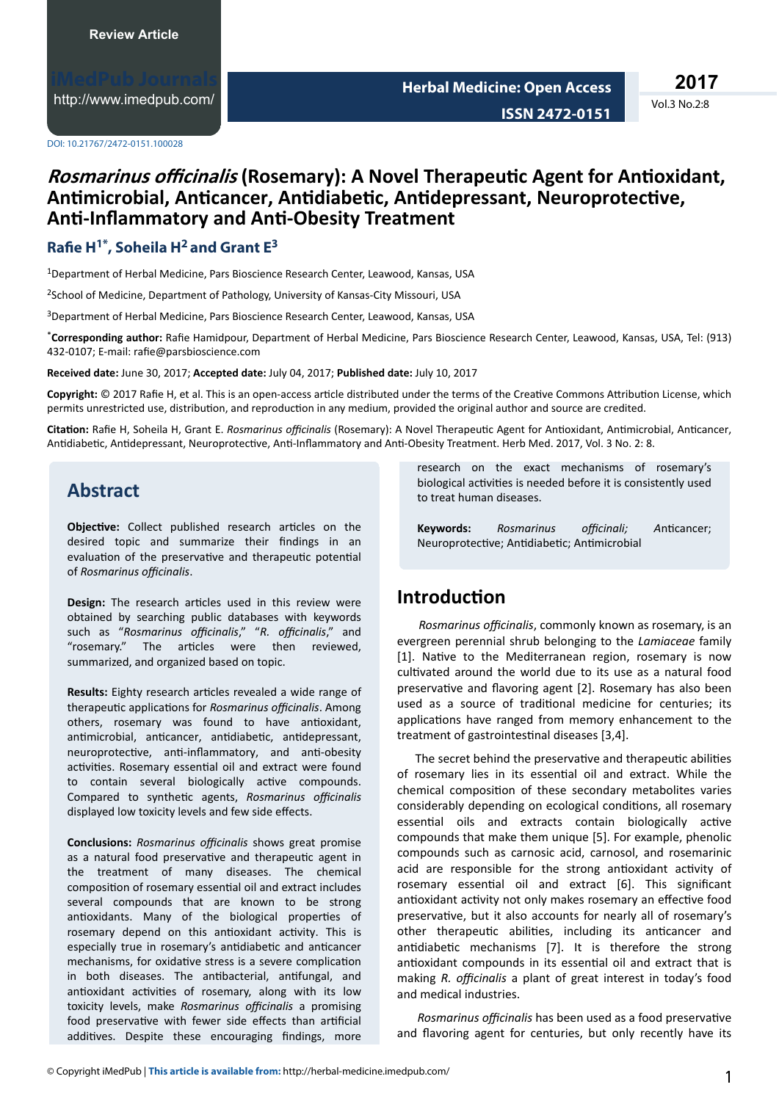<http://www.imedpub.com/>

**2017**

Vol.3 No.2:8

DOI: 10.21767/2472-0151.100028

## *Rosmarinus officinalis* **(Rosemary): A Novel Therapeutic Agent for Antioxidant, Antimicrobial, Anticancer, Antidiabetic, Antidepressant, Neuroprotective, Anti-Inflammatory and Anti-Obesity Treatment**

### **Rae H1\*, Soheila H2 and Grant E<sup>3</sup>**

<sup>1</sup>Department of Herbal Medicine, Pars Bioscience Research Center, Leawood, Kansas, USA

<sup>2</sup>School of Medicine, Department of Pathology, University of Kansas-City Missouri, USA

<sup>3</sup>Department of Herbal Medicine, Pars Bioscience Research Center, Leawood, Kansas, USA

\*Corresponding author: Rafie Hamidpour, Department of Herbal Medicine, Pars Bioscience Research Center, Leawood, Kansas, USA, Tel: (913) 432-0107; E-mail: rafie@parsbioscience.com

**Received date:** June 30, 2017; **Accepted date:** July 04, 2017; **Published date:** July 10, 2017

Copyright: © 2017 Rafie H, et al. This is an open-access article distributed under the terms of the Creative Commons Attribution License, which permits unrestricted use, distribution, and reproduction in any medium, provided the original author and source are credited.

**Citation:** Rafie H, Soheila H, Grant E. *Rosmarinus officinalis* (Rosemary): A Novel Therapeutic Agent for Antioxidant, Antimicrobial, Anticancer, Antidiabetic, Antidepressant, Neuroprotective, Anti-Inflammatory and Anti-Obesity Treatment. Herb Med. 2017, Vol. 3 No. 2: 8.

# **Abstract**

Objective: Collect published research articles on the desired topic and summarize their findings in an evaluation of the preservative and therapeutic potential  $o$ *f Rosmarinus officinalis.* 

**Design:** The research articles used in this review were obtained by searching public databases with keywords such as "Rosmarinus officinalis," "R. officinalis," and "rosemary." The articles were then reviewed, summarized, and organized based on topic.

**Results:** Eighty research articles revealed a wide range of therapeutic applications for *Rosmarinus officinalis*. Among others, rosemary was found to have antioxidant, antimicrobial, anticancer, antidiabetic, antidepressant, neuroprotective, anti-inflammatory, and anti-obesity activities. Rosemary essential oil and extract were found to contain several biologically active compounds. Compared to synthetic agents, *Rosmarinus officinalis* displayed low toxicity levels and few side effects.

**Conclusions:** *Rosmarinus officinalis* shows great promise as a natural food preservative and therapeutic agent in the treatment of many diseases. The chemical composition of rosemary essential oil and extract includes several compounds that are known to be strong antioxidants. Many of the biological properties of rosemary depend on this antioxidant activity. This is especially true in rosemary's antidiabetic and anticancer mechanisms, for oxidative stress is a severe complication in both diseases. The antibacterial, antifungal, and antioxidant activities of rosemary, along with its low toxicity levels, make *Rosmarinus officinalis* a promising food preservative with fewer side effects than artificial additives. Despite these encouraging findings, more

research on the exact mechanisms of rosemary's biological activities is needed before it is consistently used to treat human diseases.

**Keywords:** *Rosmarinus officinali; Anticancer;* Neuroprotective; Antidiabetic; Antimicrobial

## **Introduction**

*Rosmarinus officinalis, commonly known as rosemary, is an* evergreen perennial shrub belonging to the *Lamiaceae* family  $[1]$ . Native to the Mediterranean region, rosemary is now cultivated around the world due to its use as a natural food preservative and flavoring agent [2]. Rosemary has also been used as a source of traditional medicine for centuries; its applications have ranged from memory enhancement to the treatment of gastrointestinal diseases [3,4].

The secret behind the preservative and therapeutic abilities of rosemary lies in its essential oil and extract. While the chemical composition of these secondary metabolites varies considerably depending on ecological conditions, all rosemary essential oils and extracts contain biologically active compounds that make them unique [5]. For example, phenolic compounds such as carnosic acid, carnosol, and rosemarinic acid are responsible for the strong antioxidant activity of rosemary essential oil and extract [6]. This significant antioxidant activity not only makes rosemary an effective food preservative, but it also accounts for nearly all of rosemary's other therapeutic abilities, including its anticancer and antidiabetic mechanisms [7]. It is therefore the strong antioxidant compounds in its essential oil and extract that is making *R. officinalis* a plant of great interest in today's food and medical industries.

*Rosmarinus officinalis* has been used as a food preservative and flavoring agent for centuries, but only recently have its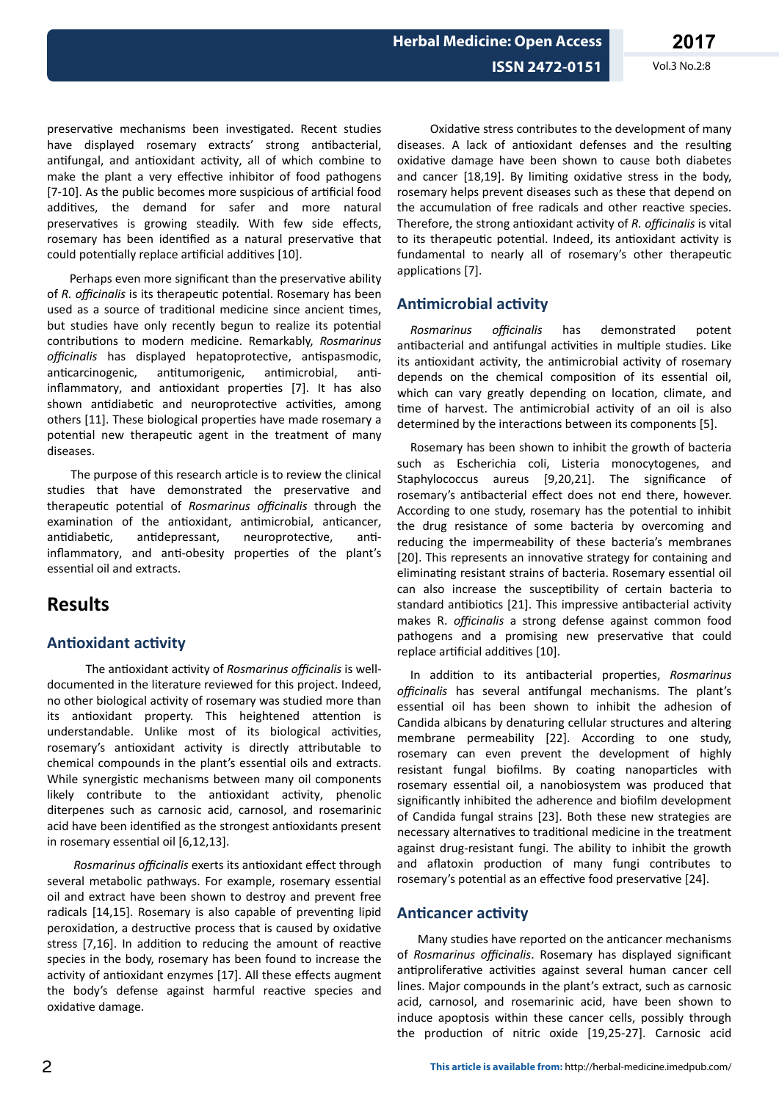preservative mechanisms been investigated. Recent studies have displayed rosemary extracts' strong antibacterial, antifungal, and antioxidant activity, all of which combine to make the plant a very effective inhibitor of food pathogens [7-10]. As the public becomes more suspicious of artificial food additives, the demand for safer and more natural preservatives is growing steadily. With few side effects, rosemary has been identified as a natural preservative that could potentially replace artificial additives [10].

Perhaps even more significant than the preservative ability of *R. officinalis* is its therapeutic potential. Rosemary has been used as a source of traditional medicine since ancient times, but studies have only recently begun to realize its potential contributions to modern medicine. Remarkably, *Rosmarinus officinalis* has displayed hepatoprotective, antispasmodic, anticarcinogenic, antitumorigenic, antimicrobial, antiinflammatory, and antioxidant properties [7]. It has also shown antidiabetic and neuroprotective activities, among others [11]. These biological properties have made rosemary a potential new therapeutic agent in the treatment of many diseases.

The purpose of this research article is to review the clinical studies that have demonstrated the preservative and therapeutic potential of *Rosmarinus officinalis* through the examination of the antioxidant, antimicrobial, anticancer, antidiabetic, antidepressant, neuroprotective, antiinflammatory, and anti-obesity properties of the plant's essential oil and extracts.

## **Results**

### **Antioxidant activity**

The antioxidant activity of *Rosmarinus officinalis* is welldocumented in the literature reviewed for this project. Indeed, no other biological activity of rosemary was studied more than its antioxidant property. This heightened attention is understandable. Unlike most of its biological activities, rosemary's antioxidant activity is directly attributable to chemical compounds in the plant's essential oils and extracts. While synergistic mechanisms between many oil components likely contribute to the antioxidant activity, phenolic diterpenes such as carnosic acid, carnosol, and rosemarinic acid have been identified as the strongest antioxidants present in rosemary essential oil [6,12,13].

*Rosmarinus officinalis exerts its antioxidant effect through* several metabolic pathways. For example, rosemary essential oil and extract have been shown to destroy and prevent free radicals [14,15]. Rosemary is also capable of preventing lipid peroxidation, a destructive process that is caused by oxidative stress [7,16]. In addition to reducing the amount of reactive species in the body, rosemary has been found to increase the activity of antioxidant enzymes [17]. All these effects augment the body's defense against harmful reactive species and oxidative damage.

Oxidative stress contributes to the development of many diseases. A lack of antioxidant defenses and the resulting oxidative damage have been shown to cause both diabetes and cancer  $[18,19]$ . By limiting oxidative stress in the body, rosemary helps prevent diseases such as these that depend on the accumulation of free radicals and other reactive species. Therefore, the strong antioxidant activity of *R. officinalis* is vital to its therapeutic potential. Indeed, its antioxidant activity is fundamental to nearly all of rosemary's other therapeutic applications [7].

### **Antimicrobial activity**

*Rosmarinus officinalis* has demonstrated potent antibacterial and antifungal activities in multiple studies. Like its antioxidant activity, the antimicrobial activity of rosemary depends on the chemical composition of its essential oil, which can vary greatly depending on location, climate, and time of harvest. The antimicrobial activity of an oil is also determined by the interactions between its components [5].

Rosemary has been shown to inhibit the growth of bacteria such as Escherichia coli, Listeria monocytogenes, and Staphylococcus aureus [9,20,21]. The significance of rosemary's antibacterial effect does not end there, however. According to one study, rosemary has the potential to inhibit the drug resistance of some bacteria by overcoming and reducing the impermeability of these bacteria's membranes [20]. This represents an innovative strategy for containing and eliminating resistant strains of bacteria. Rosemary essential oil can also increase the susceptibility of certain bacteria to standard antibiotics [21]. This impressive antibacterial activity makes R. *officinalis* a strong defense against common food pathogens and a promising new preservative that could replace artificial additives [10].

In addition to its antibacterial properties, Rosmarinus officinalis has several antifungal mechanisms. The plant's essential oil has been shown to inhibit the adhesion of Candida albicans by denaturing cellular structures and altering membrane permeability [22]. According to one study, rosemary can even prevent the development of highly resistant fungal biofilms. By coating nanoparticles with rosemary essential oil, a nanobiosystem was produced that significantly inhibited the adherence and biofilm development of Candida fungal strains [23]. Both these new strategies are necessary alternatives to traditional medicine in the treatment against drug-resistant fungi. The ability to inhibit the growth and aflatoxin production of many fungi contributes to rosemary's potential as an effective food preservative [24].

#### **Anticancer activity**

Many studies have reported on the anticancer mechanisms of *Rosmarinus officinalis*. Rosemary has displayed significant antiproliferative activities against several human cancer cell lines. Major compounds in the plant's extract, such as carnosic acid, carnosol, and rosemarinic acid, have been shown to induce apoptosis within these cancer cells, possibly through the production of nitric oxide [19,25-27]. Carnosic acid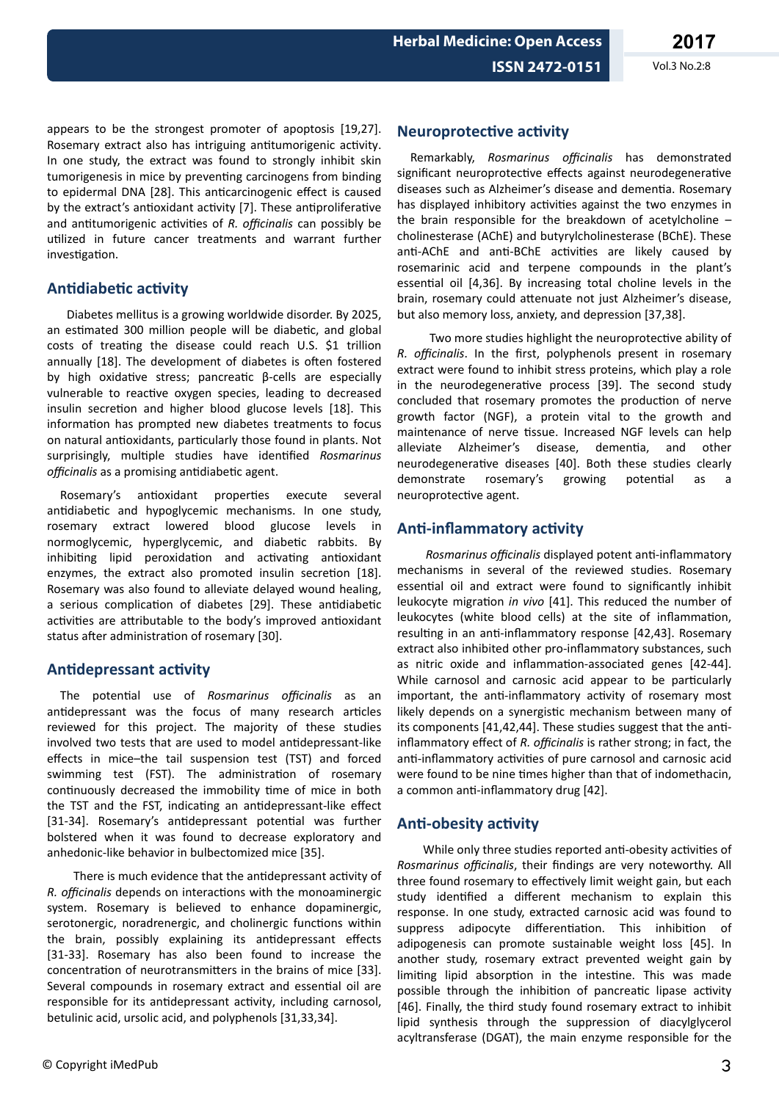**2017**

appears to be the strongest promoter of apoptosis [19,27]. Rosemary extract also has intriguing antitumorigenic activity. In one study, the extract was found to strongly inhibit skin tumorigenesis in mice by preventing carcinogens from binding to epidermal DNA [28]. This anticarcinogenic effect is caused by the extract's antioxidant activity [7]. These antiproliferative and antitumorigenic activities of *R. officinalis* can possibly be utilized in future cancer treatments and warrant further investigation.

### **Antidiabetic activity**

Diabetes mellitus is a growing worldwide disorder. By 2025, an estimated 300 million people will be diabetic, and global costs of treating the disease could reach U.S. \$1 trillion annually [18]. The development of diabetes is often fostered by high oxidative stress; pancreatic β-cells are especially vulnerable to reactive oxygen species, leading to decreased insulin secretion and higher blood glucose levels [18]. This information has prompted new diabetes treatments to focus on natural antioxidants, particularly those found in plants. Not surprisingly, multiple studies have identified *Rosmarinus officinalis* as a promising antidiabetic agent.

Rosemary's antioxidant properties execute several antidiabetic and hypoglycemic mechanisms. In one study, rosemary extract lowered blood glucose levels in normoglycemic, hyperglycemic, and diabetic rabbits. By inhibiting lipid peroxidation and activating antioxidant enzymes, the extract also promoted insulin secretion [18]. Rosemary was also found to alleviate delayed wound healing, a serious complication of diabetes [29]. These antidiabetic activities are attributable to the body's improved antioxidant status after administration of rosemary [30].

### **Antidepressant activity**

The potential use of *Rosmarinus officinalis* as an antidepressant was the focus of many research articles reviewed for this project. The majority of these studies involved two tests that are used to model antidepressant-like effects in mice-the tail suspension test (TST) and forced swimming test (FST). The administration of rosemary continuously decreased the immobility time of mice in both the TST and the FST, indicating an antidepressant-like effect [31-34]. Rosemary's antidepressant potential was further bolstered when it was found to decrease exploratory and anhedonic-like behavior in bulbectomized mice [35].

There is much evidence that the antidepressant activity of *R. officinalis* depends on interactions with the monoaminergic system. Rosemary is believed to enhance dopaminergic, serotonergic, noradrenergic, and cholinergic functions within the brain, possibly explaining its antidepressant effects [31-33]. Rosemary has also been found to increase the concentration of neurotransmitters in the brains of mice [33]. Several compounds in rosemary extract and essential oil are responsible for its antidepressant activity, including carnosol, betulinic acid, ursolic acid, and polyphenols [31,33,34].

# $\circledcirc$  Copyright iMedPub 3

### **Neuroprotective activity**

Remarkably, *Rosmarinus officinalis* has demonstrated significant neuroprotective effects against neurodegenerative diseases such as Alzheimer's disease and dementia. Rosemary has displayed inhibitory activities against the two enzymes in the brain responsible for the breakdown of acetylcholine  $$ cholinesterase (AChE) and butyrylcholinesterase (BChE). These anti-AChE and anti-BChE activities are likely caused by rosemarinic acid and terpene compounds in the plant's essential oil [4,36]. By increasing total choline levels in the brain, rosemary could attenuate not just Alzheimer's disease, but also memory loss, anxiety, and depression [37,38].

Two more studies highlight the neuroprotective ability of *R. officinalis.* In the first, polyphenols present in rosemary extract were found to inhibit stress proteins, which play a role in the neurodegenerative process [39]. The second study concluded that rosemary promotes the production of nerve growth factor (NGF), a protein vital to the growth and maintenance of nerve tissue. Increased NGF levels can help alleviate Alzheimer's disease, dementia, and other neurodegenerative diseases [40]. Both these studies clearly demonstrate rosemary's growing potential as a neuroprotective agent.

### **Anti-inflammatory activity**

*Rosmarinus officinalis* displayed potent anti-inflammatory mechanisms in several of the reviewed studies. Rosemary essential oil and extract were found to significantly inhibit leukocyte migration *in vivo* [41]. This reduced the number of leukocytes (white blood cells) at the site of inflammation, resulting in an anti-inflammatory response [42,43]. Rosemary extract also inhibited other pro-inflammatory substances, such as nitric oxide and inflammation-associated genes [42-44]. While carnosol and carnosic acid appear to be particularly important, the anti-inflammatory activity of rosemary most likely depends on a synergistic mechanism between many of its components [41,42,44]. These studies suggest that the antiinflammatory effect of *R. officinalis* is rather strong; in fact, the anti-inflammatory activities of pure carnosol and carnosic acid were found to be nine times higher than that of indomethacin, a common anti-inflammatory drug [42].

### **Anti-obesity activity**

While only three studies reported anti-obesity activities of *Rosmarinus officinalis*, their findings are very noteworthy. All three found rosemary to effectively limit weight gain, but each study identified a different mechanism to explain this response. In one study, extracted carnosic acid was found to suppress adipocyte differentiation. This inhibition of adipogenesis can promote sustainable weight loss [45]. In another study, rosemary extract prevented weight gain by limiting lipid absorption in the intestine. This was made possible through the inhibition of pancreatic lipase activity [46]. Finally, the third study found rosemary extract to inhibit lipid synthesis through the suppression of diacylglycerol acyltransferase (DGAT), the main enzyme responsible for the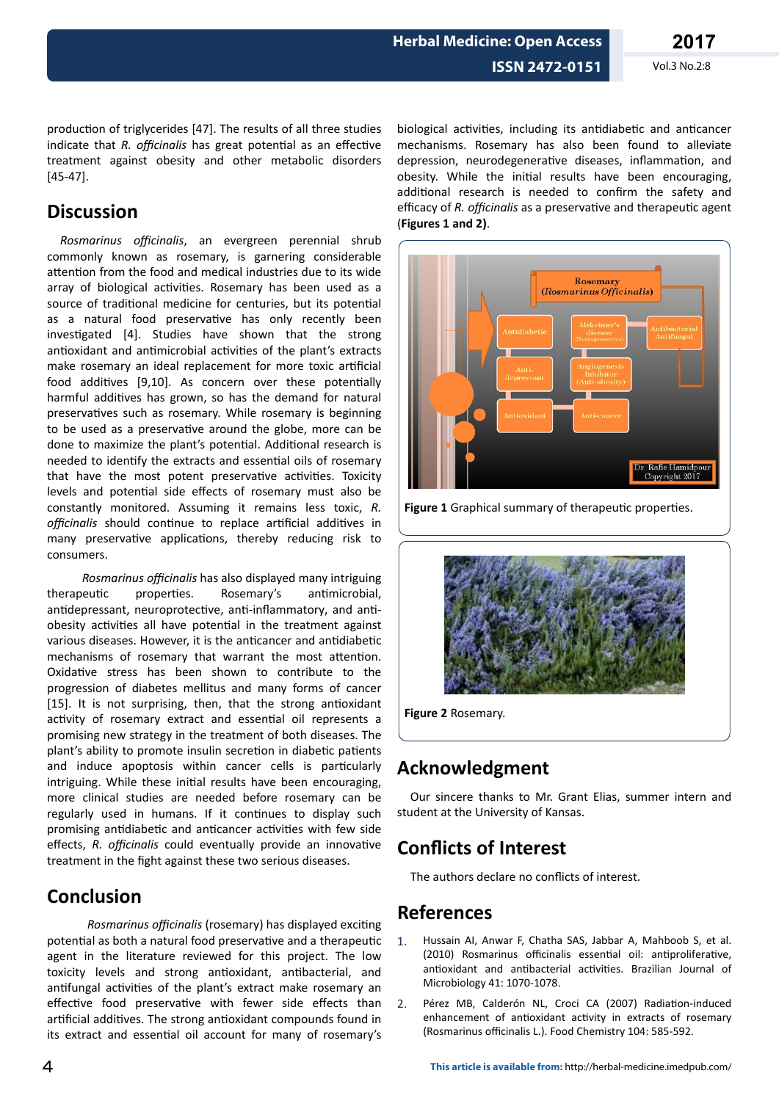**ISSN 2472-0151** Vol.3 No.2:8

production of triglycerides [47]. The results of all three studies indicate that *R. officinalis* has great potential as an effective treatment against obesity and other metabolic disorders [45-47].

## **Discussion**

*Rosmarinus officinalis*, an evergreen perennial shrub commonly known as rosemary, is garnering considerable attention from the food and medical industries due to its wide array of biological activities. Rosemary has been used as a source of traditional medicine for centuries, but its potential as a natural food preservative has only recently been investigated [4]. Studies have shown that the strong antioxidant and antimicrobial activities of the plant's extracts make rosemary an ideal replacement for more toxic artificial food additives [9,10]. As concern over these potentially harmful additives has grown, so has the demand for natural preservatives such as rosemary. While rosemary is beginning to be used as a preservative around the globe, more can be done to maximize the plant's potential. Additional research is needed to identify the extracts and essential oils of rosemary that have the most potent preservative activities. Toxicity levels and potential side effects of rosemary must also be constantly monitored. Assuming it remains less toxic, *R. officinalis* should continue to replace artificial additives in many preservative applications, thereby reducing risk to consumers.

*Rosmarinus officinalis* has also displayed many intriguing therapeutic properties. Rosemary's antimicrobial, antidepressant, neuroprotective, anti-inflammatory, and antiobesity activities all have potential in the treatment against various diseases. However, it is the anticancer and antidiabetic mechanisms of rosemary that warrant the most attention. Oxidative stress has been shown to contribute to the progression of diabetes mellitus and many forms of cancer [15]. It is not surprising, then, that the strong antioxidant activity of rosemary extract and essential oil represents a promising new strategy in the treatment of both diseases. The plant's ability to promote insulin secretion in diabetic patients and induce apoptosis within cancer cells is particularly intriguing. While these initial results have been encouraging, more clinical studies are needed before rosemary can be regularly used in humans. If it continues to display such promising antidiabetic and anticancer activities with few side effects, R. officinalis could eventually provide an innovative treatment in the fight against these two serious diseases.

# **Conclusion**

*Rosmarinus officinalis* (rosemary) has displayed exciting potential as both a natural food preservative and a therapeutic agent in the literature reviewed for this project. The low toxicity levels and strong antioxidant, antibacterial, and antifungal activities of the plant's extract make rosemary an effective food preservative with fewer side effects than artificial additives. The strong antioxidant compounds found in its extract and essential oil account for many of rosemary's

biological activities, including its antidiabetic and anticancer mechanisms. Rosemary has also been found to alleviate depression, neurodegenerative diseases, inflammation, and obesity. While the initial results have been encouraging, additional research is needed to confirm the safety and efficacy of *R. officinalis* as a preservative and therapeutic agent (**Figures 1 and 2)**.



Figure 1 Graphical summary of therapeutic properties.



**Figure 2** Rosemary.

# **Acknowledgment**

Our sincere thanks to Mr. Grant Elias, summer intern and student at the University of Kansas.

# **Conflicts of Interest**

The authors declare no conflicts of interest.

## **References**

- 1. Hussain AI, Anwar F, Chatha SAS, Jabbar A, Mahboob S, et al. (2010) Rosmarinus officinalis essential oil: antiproliferative. antioxidant and antibacterial activities. Brazilian Journal of Microbiology 41: 1070-1078.
- 2. Pérez MB, Calderón NL, Croci CA (2007) Radiation-induced enhancement of antioxidant activity in extracts of rosemary (Rosmarinus officinalis L.). Food Chemistry 104: 585-592.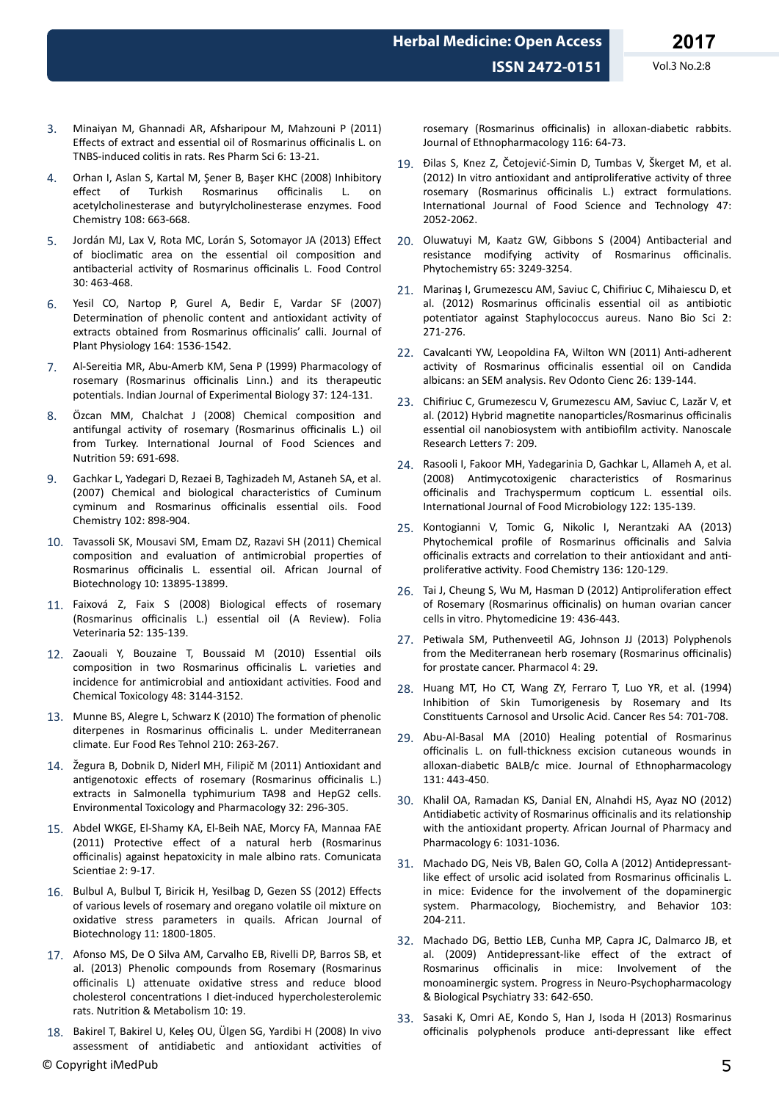- 3. Minaiyan M, Ghannadi AR, Afsharipour M, Mahzouni P (2011) Effects of extract and essential oil of Rosmarinus officinalis L. on TNBS-induced colitis in rats. Res Pharm Sci 6: 13-21.
- 4. Orhan I, Aslan S, Kartal M, Şener B, Başer KHC (2008) Inhibitory Rosmarinus officinalis L. on acetylcholinesterase and butyrylcholinesterase enzymes. Food Chemistry 108: 663-668.
- 5. Jordán MJ, Lax V, Rota MC, Lorán S, Sotomayor JA (2013) Effect of bioclimatic area on the essential oil composition and antibacterial activity of Rosmarinus officinalis L. Food Control 30: 463-468.
- 6. Yesil CO, Nartop P, Gurel A, Bedir E, Vardar SF (2007) Determination of phenolic content and antioxidant activity of extracts obtained from Rosmarinus officinalis' calli. Journal of Plant Physiology 164: 1536-1542.
- 7. Al-Sereitia MR, Abu-Amerb KM, Sena P (1999) Pharmacology of rosemary (Rosmarinus officinalis Linn.) and its therapeutic potentials. Indian Journal of Experimental Biology 37: 124-131.
- 8. Özcan MM, Chalchat J (2008) Chemical composition and antifungal activity of rosemary (Rosmarinus officinalis L.) oil from Turkey. International Journal of Food Sciences and Nutrition 59: 691-698.
- 9. Gachkar L, Yadegari D, Rezaei B, Taghizadeh M, Astaneh SA, et al. (2007) Chemical and biological characteristics of Cuminum cyminum and Rosmarinus officinalis essential oils. Food Chemistry 102: 898-904.
- 10. Tavassoli SK, Mousavi SM, Emam DZ, Razavi SH (2011) Chemical composition and evaluation of antimicrobial properties of Rosmarinus officinalis L. essential oil. African Journal of Biotechnology 10: 13895-13899.
- 11. Faixová Z, Faix S (2008) Biological effects of rosemary (Rosmarinus officinalis L.) essential oil (A Review). Folia Veterinaria 52: 135-139.
- 12. Zaouali Y, Bouzaine T, Boussaid M (2010) Essential oils composition in two Rosmarinus officinalis L. varieties and incidence for antimicrobial and antioxidant activities. Food and Chemical Toxicology 48: 3144-3152.
- 13. Munne BS, Alegre L, Schwarz K (2010) The formation of phenolic diterpenes in Rosmarinus officinalis L. under Mediterranean climate. Eur Food Res Tehnol 210: 263-267.
- 14. Žegura B, Dobnik D, Niderl MH, Filipič M (2011) Antioxidant and antigenotoxic effects of rosemary (Rosmarinus officinalis L.) extracts in Salmonella typhimurium TA98 and HepG2 cells. Environmental Toxicology and Pharmacology 32: 296-305.
- 15. Abdel WKGE, El-Shamy KA, El-Beih NAE, Morcy FA, Mannaa FAE (2011) Protective effect of a natural herb (Rosmarinus officinalis) against hepatoxicity in male albino rats. Comunicata Scientiae 2: 9-17.
- 16. Bulbul A, Bulbul T, Biricik H, Yesilbag D, Gezen SS (2012) Effects of various levels of rosemary and oregano volatile oil mixture on oxidative stress parameters in quails. African Journal of Biotechnology 11: 1800-1805.
- 17. Afonso MS, De O Silva AM, Carvalho EB, Rivelli DP, Barros SB, et al. (2013) Phenolic compounds from Rosemary (Rosmarinus officinalis L) attenuate oxidative stress and reduce blood cholesterol concentrations I diet-induced hypercholesterolemic rats. Nutrition & Metabolism 10: 19.
- 18. Bakirel T, Bakirel U, Keleş OU, Ülgen SG, Yardibi H (2008) In vivo assessment of antidiabetic and antioxidant activities of  $\bullet$  Copyright iMedPub 5

rosemary (Rosmarinus officinalis) in alloxan-diabetic rabbits. Journal of Ethnopharmacology 116: 64-73.

- 19. Ðilas S, Knez Z, Četojević-Simin D, Tumbas V, Škerget M, et al. (2012) In vitro antioxidant and antiproliferative activity of three rosemary (Rosmarinus officinalis L.) extract formulations. International Journal of Food Science and Technology 47: 2052-2062.
- 20. Oluwatuyi M, Kaatz GW, Gibbons S (2004) Antibacterial and resistance modifying activity of Rosmarinus officinalis. Phytochemistry 65: 3249-3254.
- 21. Marinaș I, Grumezescu AM, Saviuc C, Chifiriuc C, Mihaiescu D, et al. (2012) Rosmarinus officinalis essential oil as antibiotic potentiator against Staphylococcus aureus. Nano Bio Sci 2: 271-276.
- 22. Cavalcanti YW, Leopoldina FA, Wilton WN (2011) Anti-adherent activity of Rosmarinus officinalis essential oil on Candida albicans: an SEM analysis. Rev Odonto Cienc 26: 139-144.
- 23. Chifiriuc C, Grumezescu V, Grumezescu AM, Saviuc C, Lazăr V, et al. (2012) Hybrid magnetite nanoparticles/Rosmarinus officinalis essential oil nanobiosystem with antibiofilm activity. Nanoscale Research Letters 7: 209.
- 24. Rasooli I, Fakoor MH, Yadegarinia D, Gachkar L, Allameh A, et al. (2008) Antimycotoxigenic characteristics of Rosmarinus officinalis and Trachyspermum copticum L. essential oils. International Journal of Food Microbiology 122: 135-139.
- 25. Kontogianni V, Tomic G, Nikolic I, Nerantzaki AA (2013) Phytochemical profile of Rosmarinus officinalis and Salvia officinalis extracts and correlation to their antioxidant and antiproliferative activity. Food Chemistry 136: 120-129.
- 26. Tai J, Cheung S, Wu M, Hasman D (2012) Antiproliferation effect of Rosemary (Rosmarinus officinalis) on human ovarian cancer cells in vitro. Phytomedicine 19: 436-443.
- 27. Petiwala SM, Puthenveetil AG, Johnson JJ (2013) Polyphenols from the Mediterranean herb rosemary (Rosmarinus officinalis) for prostate cancer. Pharmacol 4: 29.
- 28. Huang MT, Ho CT, Wang ZY, Ferraro T, Luo YR, et al. (1994) Inhibition of Skin Tumorigenesis by Rosemary and Its Constituents Carnosol and Ursolic Acid. Cancer Res 54: 701-708.
- 29. Abu-Al-Basal MA (2010) Healing potential of Rosmarinus officinalis L. on full-thickness excision cutaneous wounds in alloxan-diabetic BALB/c mice. Journal of Ethnopharmacology 131: 443-450.
- 30. Khalil OA, Ramadan KS, Danial EN, Alnahdi HS, Ayaz NO (2012) Antidiabetic activity of Rosmarinus officinalis and its relationship with the antioxidant property. African Journal of Pharmacy and Pharmacology 6: 1031-1036.
- 31. Machado DG, Neis VB, Balen GO, Colla A (2012) Antidepressantlike effect of ursolic acid isolated from Rosmarinus officinalis L. in mice: Evidence for the involvement of the dopaminergic system. Pharmacology, Biochemistry, and Behavior 103: 204-211.
- 32. Machado DG, Bettio LEB, Cunha MP, Capra JC, Dalmarco JB, et al. (2009) Antidepressant-like effect of the extract of Rosmarinus officinalis in mice: Involvement of the monoaminergic system. Progress in Neuro-Psychopharmacology & Biological Psychiatry 33: 642-650.
- 33. Sasaki K, Omri AE, Kondo S, Han J, Isoda H (2013) Rosmarinus officinalis polyphenols produce anti-depressant like effect